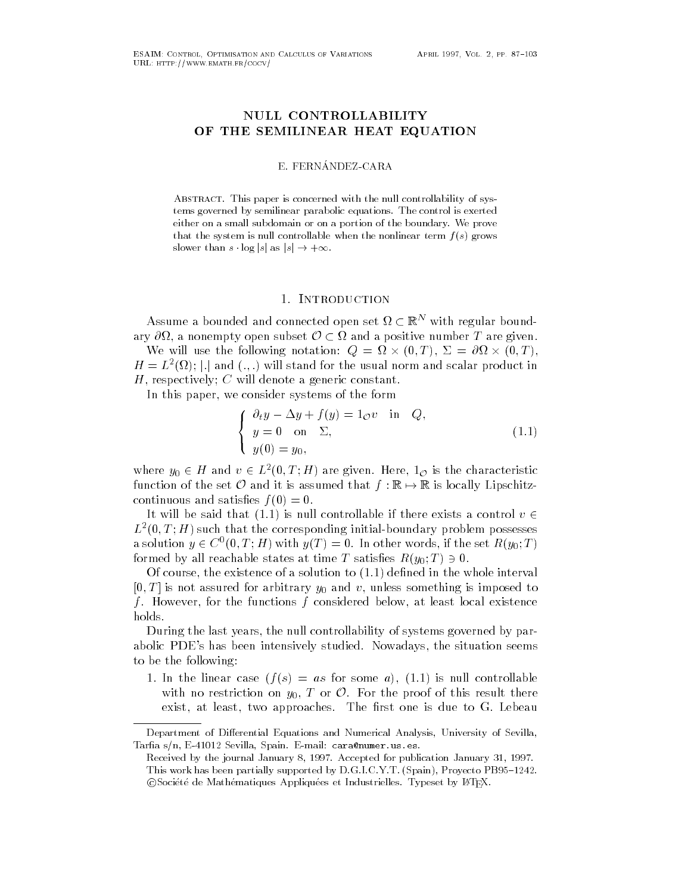# NULL CONTROLLABILITY OF THE SEMILINEAR HEAT EQUATION

#### E- FERNANDEZCARA

ABSTRACT. This paper is concerned with the null controllability of systems governed by semilinear parabolic equations- The control is exerted either on a small subdomain or on a portion or on a portion of the boundary-boundary-boundary-boundarythat the system is null controllable when the nonlinear term  $f(s)$  grows slower than <sup>s</sup> log jsj as jsj - -

### 1. INTRODUCTION

Assume a bounded and connected open set  $\Omega \subset \mathbb{R}^+$  with regular boundary  $\partial\Omega$ , a nonempty open subset  $\mathcal{O}\subset\Omega$  and a positive number  $T$  are given.

We will use the following notation:  $Q = \Omega \times (0,T)$ ,  $\Sigma = \partial \Omega \times (0,T)$ ,  $H=L^{2}(\Omega);$  . and  $(.,.)$  will stand for the usual norm and scalar product in H, respectively; C will denote a generic constant.

In this paper, we consider systems of the form

$$
\begin{cases}\n\partial_t y - \Delta y + f(y) = 1_{\mathcal{O}} v & \text{in } Q, \\
y = 0 & \text{on } \Sigma, \\
y(0) = y_0,\n\end{cases}
$$
\n(1.1)

where  $y_0 \in H$  and  $v \in L^2(0,T;H)$  are given. Here,  $1_{\mathcal{O}}$  is the characteristic function of the set  $\mathcal O$  and it is assumed that  $f : \mathbb R \to \mathbb R$  is locally Lipschitzcontinuous and satisfaction and satisfaction and satisfaction and satisfaction and satisfaction and satisfaction and satisfaction and satisfaction and satisfaction and satisfaction and satisfaction and satisfaction and sat

It will be said that (1.1) is null controllable if there exists a control  $v \in$  $L$  (0, 1;  $H$  ) such that the corresponding initial-boundary problem possesses a solution  $y \in C^{\infty}(0,T;H)$  with  $y(T)=0$ . In other words, if the set  $R(y_0;T)$ formed by all reachable states at time  $T$  satishes  $R(y_0;T)\ni 0.$ 

Of course the existence of a solution to dened in the whole interval - T is not assured for arbitrary y- and v unless something is imposed to f. However, for the functions  $f$  considered below, at least local existence holds

During the last years, the null controllability of systems governed by parabolic PDE's has been intensively studied. Nowadays, the situation seems to be the following

al an international controllable from the some state  $\mathcal{I}_1$  and  $\mathcal{I}_2$  are some and some some with no restriction on  $y_0,$   $T$  or  $\mathcal O.$  For the proof of this result there exist, at least, two approaches. The first one is due to G. Lebeau

Department of Differential Equations and Numerical Analysis, University of Sevilla, a sevilla que es establecer en parties-se animals de la característica de la cara-

received by the journal community by here considered for publications community and here c This work has been partially supported by D-G-I-C-Y-T- Spain Proyecto PB
-Coociete de Mathematiques Appliquees et Industrielles. Typeset by ETEA.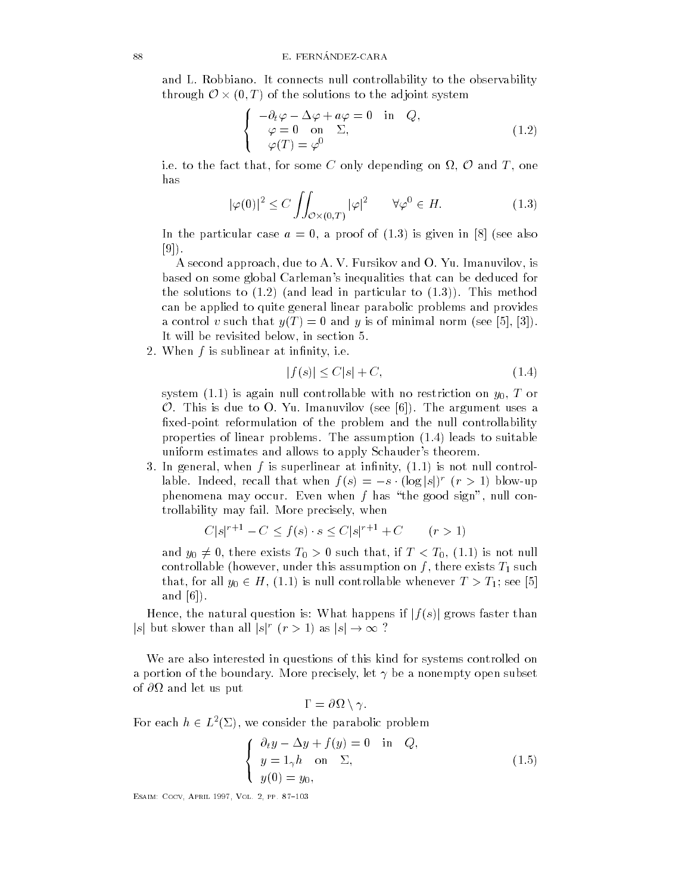and L Robbiano It connects null connects numerically to the observability to the observability to the observability to the observability to the observability to the observability to the observability to the observability through  $\mathcal{O}\times (0,T)$  of the solutions to the adjoint system

$$
\begin{cases}\n-\partial_t \varphi - \Delta \varphi + a\varphi = 0 & \text{in} \quad Q, \\
\varphi = 0 & \text{on} \quad \Sigma, \\
\varphi(T) = \varphi^0\n\end{cases}
$$
\n(1.2)

i.e. to the fact that, for some  $C$  only depending on  $\Omega, \, \mathcal O$  and  $T,$  one has

$$
|\varphi(0)|^2 \le C \iint_{\mathcal{O} \times (0,T)} |\varphi|^2 \qquad \forall \varphi^0 \in H. \tag{1.3}
$$

In the particular case a proof of  $\mathbf{r}$  and  $\mathbf{r}$  are proof of of other case as  $\mathbf{r}$  $[9]$ .

A second approach, due to A. V. Fursikov and O. Yu. Imanuvilov, is based on some global Carleman's inequalities that can be deduced for the solutions to the solutions to the solutions of  $\mathcal{M}$ can be applied to quite general linear parabolic problems and provides and y such that yT such that yT is of minimal norm see  $\mathcal{A}$ It will be revisited below, in section 5.

2. When  $f$  is sublinear at infinity, i.e.

$$
|f(s)| \le C|s| + C,\tag{1.4}
$$

 $\mathcal{S}$  is a given on the controllable with nucleon  $\mathcal{S}$  $\mathcal O$ . This is due to O. Yu. Imanuvilov (see [6]). The argument uses a fixed-point reformulation of the problem and the null controllability properties of linear problems The assumption leads to suitable uniform estimates and allows to apply Schauder's theorem.

 In general when f is superlinear at innity is not null control lable. Indeed, recall that when  $f(s) = -s \cdot (\log |s|)^r$   $(r > 1)$  blow-up phenomena may occur. Even when f has "the good sign", null controllability may fail. More precisely, when

$$
C|s|^{r+1} - C \le f(s) \cdot s \le C|s|^{r+1} + C \qquad (r > 1)
$$

and  $y_0\neq 0,$  there exists  $T_0>0$  such that, if  $T< T_0, \, (1.1)$  is not null controllable however under this assumption on f  $\mathcal{N}(t)$  . This assumption on f  $\mathcal{N}(t)$ that, for all  $y_0 \in H$ , (1.1) is null controllable whenever  $T > T_1$ ; see [5] and

Hence, the natural question is: What happens if  $|f(s)|$  grows faster than s but slower than all  $|s|^r$   $(r > 1)$  as  $|s| \to \infty$  ?

We are also interested in questions of this kind for systems controlled on a portion of the boundary. More precisely, let  $\gamma$  be a nonempty open subset of - and let us put in the set us put in the set us put in the set us put in the set us put in the set us put

$$
\Gamma = \partial \Omega \setminus \gamma.
$$

For each  $h \in L^2(\Sigma)$ , we consider the parabolic problem

$$
\begin{cases}\n\partial_t y - \Delta y + f(y) = 0 & \text{in } Q, \\
y = 1_\gamma h & \text{on } \Sigma, \\
y(0) = y_0,\n\end{cases}
$$
\n(1.5)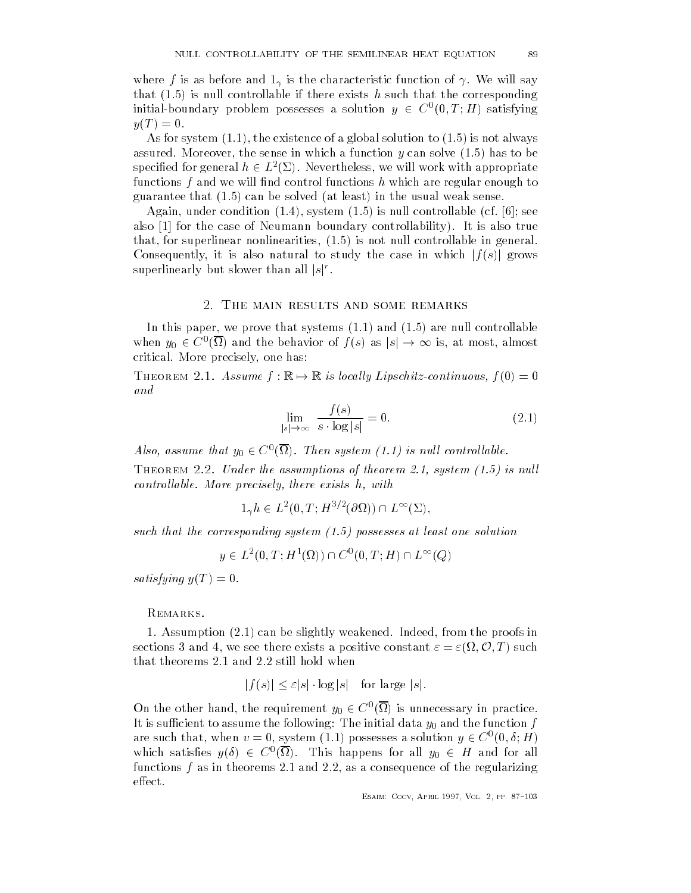where f is as before and is the characteristic function of  $W$ that is null controllable if there exists h such that the corresponding initial-boundary problem possesses a solution  $y \in C^{\infty}(0,T;H)$  satisfying  $\sim$ 

 $\mathcal{A}$ s for system of a global solution to always  $\mathcal{A}$  and always  $\mathcal{A}$  and always  $\mathcal{A}$ assured Moreover the sense in which a function  $M$  can solve  $\mathcal{A}$ specified for general  $h\in L^2(\Sigma)$ . Nevertheless, we will work with appropriate functions  $f$  and we will find control functions  $h$  which are regular enough to guarantee that can be solved at least in the usual weak sense

 $\mathbf{A}$  is null condition and controllable controllable controllable controllable controllable controllable controllable controllable controllable controllable controllable controllable controllable controllable controll also for the case of Neumann boundary controllability of Neumann boundary controllability of Neumann boundary c that for superlinear nonlinearities is not null controllable in general Consequently, it is also natural to study the case in which  $|f(s)|$  grows superlinearly but slower than all  $|s|^r$ .

#### s, in main results and some remarks.

in the paper we prove that systems is a system of the system of the system of the system of the system of the s when  $y_0 \in C^0(\Omega)$  and the behavior of  $f(s)$  as  $|s| \to \infty$  is, at most, almost critical. More precisely, one has:

THEOREM 2.1. Assume  $f: \mathbb{K} \mapsto \mathbb{K}$  is locally Lipschitz-continuous,  $f(0) = 0$ and

$$
\lim_{|s| \to \infty} \frac{f(s)}{s \cdot \log|s|} = 0. \tag{2.1}
$$

Also, assume that  $y_0 \in C^\circ(\Omega)$ . Then system (1.1) is null controllable.

Theorem T.T. Chaol me assumptions of theorem will successfully to hand controllable. More precisely, there exists  $h$ , with

 $1_{\gamma}h \in L^2(0,T;H^{\nu/2}(\partial\Omega))\cap L^{\infty}(\Sigma),$ 

such that the corresponding system  $(1.5)$  possesses at least one solution

$$
y \in L^2(0, T; H^1(\Omega)) \cap C^0(0, T; H) \cap L^\infty(Q)
$$

satisfying your control of the same of the same of the same of the same of the same of the same of the same of

REMARKS.

 Assumption can be slightly weakened Indeed from the proofs in sections 3 and 4, we see there exists a positive constant  $\varepsilon = \varepsilon(\Omega, \mathcal{O}, T)$  such that theorems  $2.1$  and  $2.2$  still hold when

$$
|f(s)| \le \varepsilon |s| \cdot \log |s| \quad \text{for large } |s|.
$$

On the other hand, the requirement  $y_0 \in C^\infty(\Omega)$  is unnecessary in practice.  $\Omega$  is such the function function function function function function function function  $\Omega$ are such that, when  $v = 0$ , system (1.1) possesses a solution  $y \in C^{\infty}(0,\delta;H)$ which satisfies  $y(\delta) \in C^{\circ}(\Omega)$ . This happens for all  $y_0 \in H$  and for all functions  $f$  as in theorems 2.1 and 2.2, as a consequence of the regularizing  $effect.$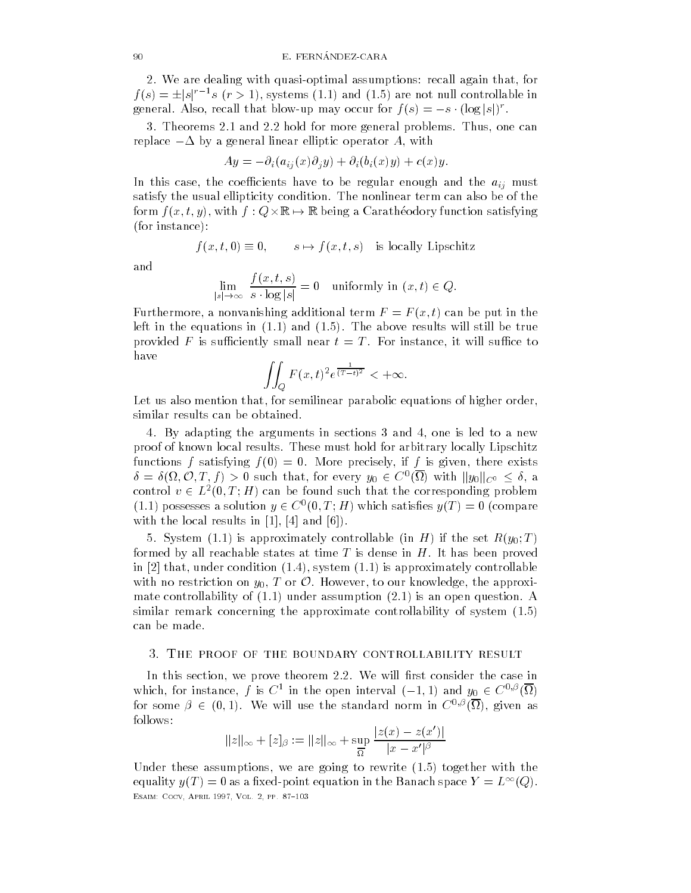2. We are dealing with quasi-optimal assumptions: recall again that, for  $f(s) = \pm |s|^{r-1} s$   $(r > 1)$ , systems (1.1) and (1.5) are not null controllable in general. Also, recall that blow-up may occur for  $f(s) = -s \cdot (\log |s|)^r$ .

3. Theorems 2.1 and 2.2 hold for more general problems. Thus, one can replace  $-\Delta$  by a general linear elliptic operator A, with

$$
Ay = -\partial_i(a_{ij}(x)\partial_j y) + \partial_i(b_i(x)y) + c(x)y.
$$

In this case the coefficients have the aig must have the aig must have the aig must have the aig must have the aig must have the aig must have the aig must have the aig must have the aig must have the aig must have the ai satisfy the usual ellipticity condition. The nonlinear term can also be of the form  $f(x, t, y)$ , with  $f: Q \times \mathbb{R} \mapsto \mathbb{R}$  being a Caratheodory function satisfying for instance  $\mathbf{r}$ 

$$
f(x, t, 0) \equiv 0
$$
,  $s \mapsto f(x, t, s)$  is locally Lipschitz

$$
\lim_{|s| \to \infty} \frac{f(x, t, s)}{s \cdot \log |s|} = 0 \quad \text{uniformly in } (x, t) \in Q.
$$

Furthermore a non-vanishing additional term  $\mathbf{f}$  and  $\mathbf{f}$  and  $\mathbf{f}$  and  $\mathbf{f}$  and  $\mathbf{f}$  and  $\mathbf{f}$  $\mathbf 1$  in the equations in the above results will still be true results will still be true  $\mathbf 1$ provided F is sufficiently small near  $t = T$ . For instance, it will suffice to have

$$
\iint_Q F(x,t)^2 e^{\frac{1}{(T-t)^2}} < +\infty.
$$

Let us also mention that, for semilinear parabolic equations of higher order, similar results can be obtained

4. By adapting the arguments in sections 3 and 4, one is led to a new proof of known local results These must hold for arbitrary locally Lipschitz functions for a satisfying function for the interest of interest  $\mathcal{A}$  is given the exists of  $\mathcal{A}$  $\delta = \delta(\Omega, \mathcal{O}, T, f) > 0$  such that, for every  $y_0 \in C^0(\Omega)$  with  $||y_0||_{C^0} \leq \delta$ , a control  $v \in L^2(0,T;H)$  can be found such that the corresponding problem (1.1) possesses a solution  $y \in C^{\infty}(0,T;H)$  which satisfies  $y(T) = 0$  (compare with the local results in the local results in  $\mathbf{I}$  results in  $\mathbf{I}$  results in  $\mathbf{I}$ 

sistem (in the set  $\{f:Y\}$  is approximately controllable in Herman  $\{f:Y\}$  in the set  $\{f:Y\}$ formed by all reachable states at time  $T$  is dense in  $H$ . It has been proved in the under condition of the under condition  $\mathbf{r}$  and  $\mathbf{r}$  approximately controllable controllable controllable controllable controllable controllable controllable controllable controllable controllable controllab with no restriction on  $y_0, T$  or  $\mathcal O$ . However, to our knowledge, the approximate controllability of under assumption is an open question A similar remark concerning the approximate controllability of system  $(1.5)$ can be made

#### y, Ind ricout of the boundary controllability results

In this section, we prove theorem 2.2. We will first consider the case in which, for instance, f is  $C^+$  in the open interval  $(-1,1)$  and  $y_0 \in C^{\sigma,\rho}(\Omega)$ for some  $\beta \in (0,1)$ . We will use the standard norm in  $C^{\sigma,\rho}(\Omega)$ , given as follows

$$
||z||_{\infty} + [z]_{\beta} := ||z||_{\infty} + \sup_{\overline{\Omega}} \frac{|z(x) - z(x')|}{|x - x'|^{\beta}}
$$

Under these assumptions were going to rewrite the contract of the contract of the contract of the contract of th equality  $y(T) = 0$  as a fixed-point equation in the Banach space  $Y = L^{-1}(Q)$ . esant a component and provided the component of the component of the component of the contract of the contract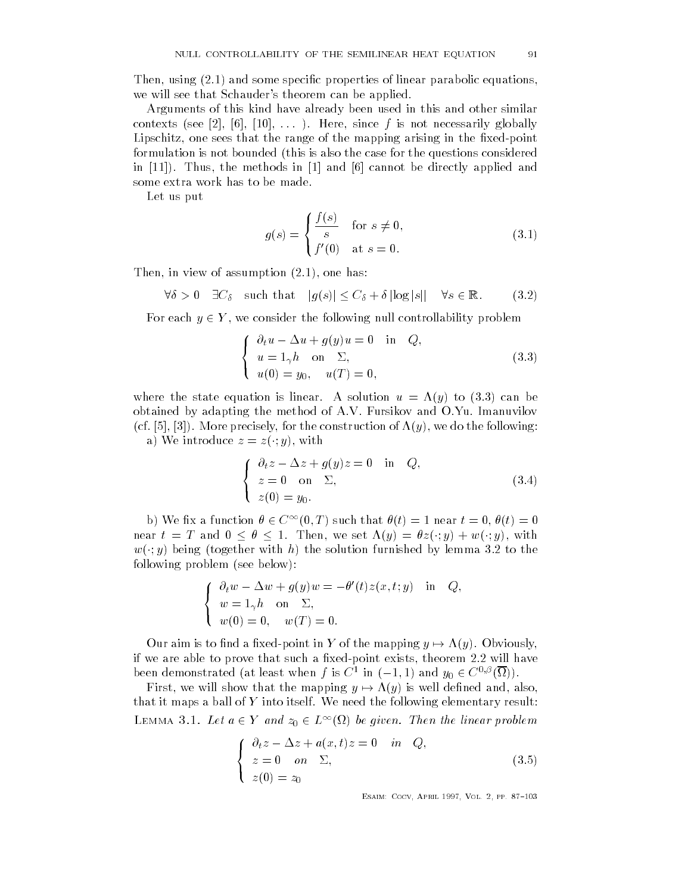Then using  $\mathbf{u}$  and some species of linear parabolic equations of linear parabolic equations of linear parabolic equations of linear parabolic equations of linear parabolic equations of linear parabolic equations of l we will see that Schauder's theorem can be applied.

Arguments of this kind have already been used in this and other similar contexts see a see see  $\sim$  1 contexts see a since f is not necessarily globally globally globally globally globally globally globally globally globally globally globally globally globally globally globally globally globa Lipschitz, one sees that the range of the mapping arising in the fixed-point formulation is not bounded (this is also the case for the questions considered in Thus the methods in and cannot be directly applied and some extra work has to be made

Let us put

$$
g(s) = \begin{cases} \frac{f(s)}{s} & \text{for } s \neq 0, \\ f'(0) & \text{at } s = 0. \end{cases}
$$
 (3.1)

Then in view of assumption and in view of assumption of assumption of a state  $\mathbf{v}$ 

$$
\forall \delta > 0 \quad \exists C_{\delta} \quad \text{such that} \quad |g(s)| \le C_{\delta} + \delta |\log|s|| \quad \forall s \in \mathbb{R}.
$$
 (3.2)

For each  $y \in Y$ , we consider the following null controllability problem

$$
\begin{cases}\n\partial_t u - \Delta u + g(y)u = 0 & \text{in } Q, \\
u = 1_\gamma h & \text{on } \Sigma, \\
u(0) = y_0, \quad u(T) = 0,\n\end{cases}
$$
\n(3.3)

where the state equation is linear A solution is linear A solution under  $\mathcal{A}$  solution under  $\mathcal{A}$ obtained by adapting the method of A.V. Fursikov and  $O.Yu$ . Imanuvilov  $\mathcal{M}$  and the construction of  $\mathcal{M}$  and  $\mathcal{M}$  and  $\mathcal{M}$  and  $\mathcal{M}$  and  $\mathcal{M}$  and  $\mathcal{M}$  and  $\mathcal{M}$  and  $\mathcal{M}$  and  $\mathcal{M}$  and  $\mathcal{M}$  and  $\mathcal{M}$  and  $\mathcal{M}$  and  $\mathcal{M}$  and  $\mathcal{M}$  and  $\mathcal{M$ 

a) we introduce  $z = z(\cdot, y)$ , with

$$
\begin{cases}\n\partial_t z - \Delta z + g(y)z = 0 & \text{in} \quad Q, \\
z = 0 & \text{on} \quad \Sigma, \\
z(0) = y_0.\n\end{cases}
$$
\n(3.4)

b) We fix a function  $\theta \in C^{\infty}(0,T)$  such that  $\theta(t) = 1$  near  $t = 0, \theta(t) = 0$ near  $t = T$  and  $0 \le \theta \le 1$ . Then, we set  $\Lambda(y) = \theta z(\cdot; y) + w(\cdot; y)$ , with  $w(\cdot, y)$  being (together with  $n$ ) the solution furnished by lemma 5.2 to the following problem see below

$$
\begin{cases} \n\partial_t w - \Delta w + g(y)w = -\theta'(t)z(x, t; y) & \text{in} \quad Q, \\ \nw = 1_\gamma h \quad \text{on} \quad \Sigma, \\ \nw(0) = 0, \quad w(T) = 0. \n\end{cases}
$$

Our aim is to find a fixed-point in Y of the mapping  $y \mapsto \Lambda(y)$ . Obviously, if we are able to prove that such a fixed-point exists, theorem 2.2 will have been demonstrated (at least when f is  $C^1$  in  $(-1,1)$  and  $y_0 \in C^{\sigma,\rho}(\Omega)$ ).

First, we will show that the mapping  $y \mapsto \Lambda(y)$  is well defined and, also, that it maps a ball of  $Y$  into itself. We need the following elementary result: LEMMA 3.1. Let  $a \in Y$  and  $z_0 \in L^{\infty}(\Omega)$  be given. Then the linear problem

$$
\begin{cases}\n\partial_t z - \Delta z + a(x, t)z = 0 & \text{in} \quad Q, \\
z = 0 \quad \text{on} \quad \Sigma, \\
z(0) = z_0\n\end{cases}
$$
\n(3.5)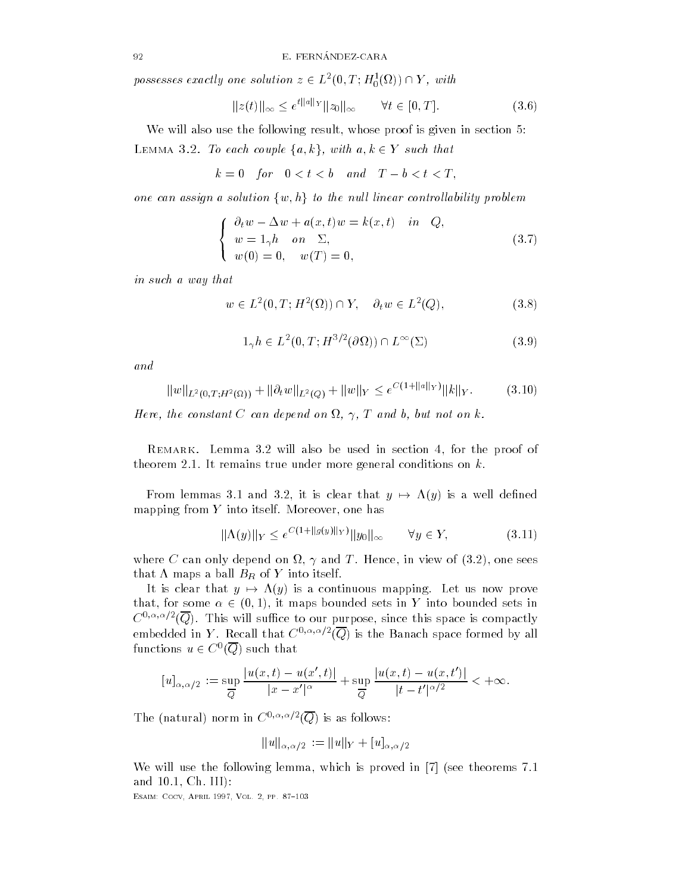possesses exactly one solution  $z \in L^2(0,T;H_0^1(\Omega)) \cap Y$ , with

$$
||z(t)||_{\infty} \le e^{t||a||_Y} ||z_0||_{\infty} \qquad \forall t \in [0, T].
$$
 (3.6)

We will also use the following result, whose proof is given in section 5: LEMMA 3.2. To each couple  $\{a, k\}$ , with  $a, k \in Y$  such that

$$
k=0 \quad \text{for} \quad 0 < t < b \quad \text{and} \quad T-b < t < T,
$$

one can assign a solution  $\{w,h\}$  to the null linear controllability problem

$$
\begin{cases}\n\partial_t w - \Delta w + a(x, t)w = k(x, t) & \text{in } Q, \\
w = 1_\gamma h & \text{on } \Sigma, \\
w(0) = 0, \quad w(T) = 0,\n\end{cases}
$$
\n(3.7)

in such a way that

$$
w \in L^{2}(0, T; H^{2}(\Omega)) \cap Y, \quad \partial_{t} w \in L^{2}(Q), \tag{3.8}
$$

$$
1_{\gamma}h \in L^{2}(0,T;H^{3/2}(\partial\Omega)) \cap L^{\infty}(\Sigma)
$$
\n(3.9)

and

$$
||w||_{L^{2}(0,T;H^{2}(\Omega))} + ||\partial_{t}w||_{L^{2}(Q)} + ||w||_{Y} \leq e^{C(1+||a||_{Y})}||k||_{Y}.
$$
 (3.10)

Here the constant  $\mathbf{F}$  and but not on the constant  $\mathbf{F}$ 

REMARK. Lemma  $3.2$  will also be used in section 4, for the proof of theorem 2.1. It remains true under more general conditions on  $k$ .

From lemmas 3.1 and 3.2, it is clear that  $y \mapsto \Lambda(y)$  is a well defined mapping from  $Y$  into itself. Moreover, one has

$$
\|\Lambda(y)\|_{Y} \le e^{C(1+\|g(y)\|_{Y})} \|y_0\|_{\infty} \qquad \forall y \in Y,
$$
\n(3.11)

where  $\sim$  can only depend on  $\sim$  , which is and the second one sees and the set that " maps a ball BR of Y into itself and the transfer of the transfer of the transfer of the transfer of the

It is clear that  $y \mapsto \Lambda(y)$  is a continuous mapping. Let us now prove that, for some  $\alpha \in (0,1)$ , it maps bounded sets in Y into bounded sets in  $C^{(2,2,2)}$  (Q). This will sumce to our purpose, since this space is compactly embedded in Y. Recall that  $C^{\gamma\gamma\gamma\gamma\gamma}(Q)$  is the Banach space formed by all functions  $u \in C^{\infty}(Q)$  such that

$$
[u]_{\alpha,\alpha/2} := \sup_{\overline{Q}} \frac{|u(x,t) - u(x',t)|}{|x - x'|^{\alpha}} + \sup_{\overline{Q}} \frac{|u(x,t) - u(x,t')|}{|t - t'|^{\alpha/2}} < +\infty.
$$

I ne (natural) norm in  $C^{3, \infty}$  (Q) is as follows:

$$
\|u\|_{\alpha,\alpha/2}\,:=\|u\|_Y+[u]_{\alpha,\alpha/2}
$$

We will use the following lemma, which is proved in  $|7|$  (see theorems  $7.1$ and Ch III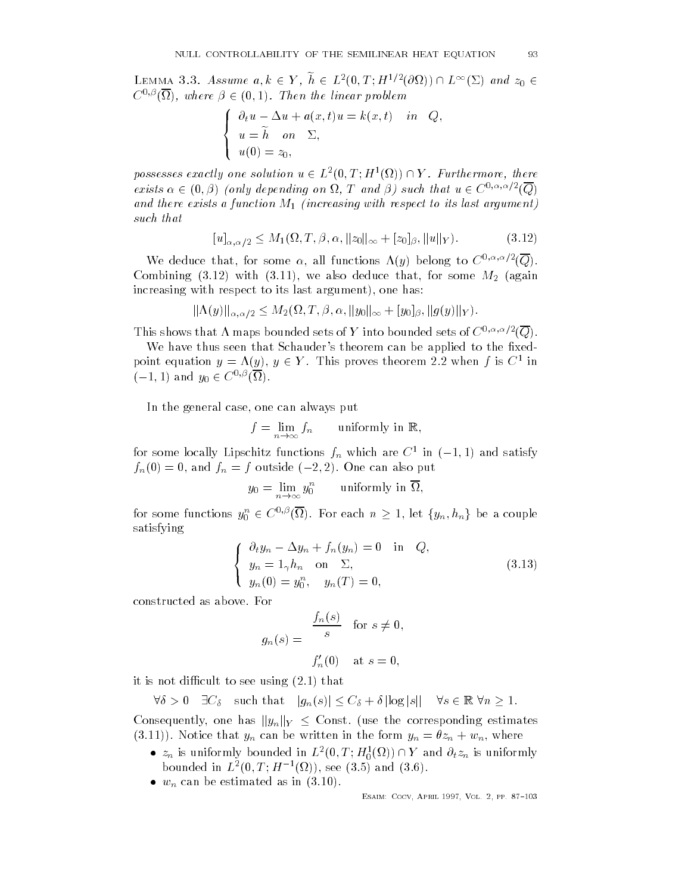LEMMA 3.3. Assume  $a, k \in Y, h \in L^2(0,T;H^{1/2}(\partial\Omega)) \cap L^{\infty}(\Sigma)$  and  $z_0 \in$  $C^{\infty,\nu}(\Omega)$ , where  $\beta \in (0,1)$ . Then the linear problem

$$
\begin{cases}\n\partial_t u - \Delta u + a(x, t)u = k(x, t) & \text{in} \quad Q, \\
u = \widetilde{h} \quad \text{on} \quad \Sigma, \\
u(0) = z_0,\n\end{cases}
$$

possesses exactly one solution  $u \in L^2(0,T;H^1(\Omega)) \cap Y$ . Furthermore, there exists  $\alpha \in (0, \beta)$  (only depending on  $\Omega$ , T and  $\beta$ ) such that  $u \in C^{\alpha, \alpha, \alpha/2}(Q)$ and the single with respect to its last and the single structure of the single structure of the single structure such that

$$
[u]_{\alpha,\alpha/2} \le M_1(\Omega, T, \beta, \alpha, ||z_0||_{\infty} + [z_0]_{\beta}, ||u||_Y). \tag{3.12}
$$

We deduce that, for some  $\alpha$ , all functions  $\Lambda(y)$  belong to  $C^{\gamma+\gamma+\gamma-1}(Q)$ .  $\overline{z}$  and  $\overline{z}$  and  $\overline{z}$  are also deduce that for some  $\overline{z}$  and  $\overline{z}$ increasing with respect to its last argument one has

$$
\|\Lambda(y)\|_{\alpha,\alpha/2}\leq M_2(\Omega,T,\beta,\alpha,\|y_0\|_{\infty}+[y_0]_{\beta},\|g(y)\|_Y).
$$

This shows that A maps bounded sets of Y into bounded sets of  $C^{\gamma+\gamma+\gamma-1}(Q)$ .

We have thus seen that Schauder's theorem can be applied to the fixedpoint equation  $y = \Lambda(y)$ ,  $y \in Y$ . This proves theorem 2.2 when f is  $C^1$  in  $(-1, 1)$  and  $y_0 \in C^{\circ, \nu}(\Omega)$ .

In the general case, one can always put

 $f$  , and  $f$  is the contract of  $f$  and  $f$  is the contract of  $f$  and  $f$  is the contract of  $f$  is the contract of  $f$  is the contract of  $f$  is the contract of  $f$  is the contract of  $f$  is the contract of  $f$  is the

for some locally Lipschitz functions  $f_n$  which are  $C$  in  $(-1, 1)$  and satisfy  $f_n(0) = 0$ , and  $f_n = f$  outside  $(-2, 2)$ . One can also put

$$
y_0 = \lim_{n \to \infty} y_0^n \qquad \text{uniformly in } \overline{\Omega},
$$

for some functions  $y_0^n \in C^{0,\beta}(\Omega).$  For each  $n \geq 1,$  let  $\{y_n,h_n\}$  be a couple satisfying

$$
\begin{cases}\n\partial_t y_n - \Delta y_n + f_n(y_n) = 0 & \text{in } Q, \\
y_n = 1_\gamma h_n & \text{on } \Sigma, \\
y_n(0) = y_0^n, & y_n(T) = 0,\n\end{cases}
$$
\n(3.13)

constructed as above. For

$$
g_n(s) = \begin{cases} \frac{f_n(s)}{s} & \text{for } s \neq 0, \\ f'_n(0) & \text{at } s = 0, \end{cases}
$$

it is not different to see using  $\mathbf{t}$  is not different to see using  $\mathbf{t}$ 

 $\forall \delta > 0 \quad \exists C_\delta \text{ such that } |g_n(s)| \leq C_\delta + \delta |\log |s| | \quad \forall s \in \mathbb{R} \forall n \geq 1.$ 

Consequently, one has  $||y_n||_Y \leq$  Const. (use the corresponding estimates  $\mathcal{N}$  and the form  $\mathcal{N}$  and the written in the form  $\mathcal{N}$  ,  $\mathcal{N}$  ,  $\mathcal{N}$  ,  $\mathcal{N}$  where  $\mathcal{N}$ 

- $z_n$  is uniformly bounded in  $L^2(0,T;H_0^1(\Omega)) \cap Y$  and  $\partial_t z_n$  is uniformly bounded in  $L^2(0,T;H^{-1}(\Omega))$ , see (3.5) and (3.6).
- $\bullet$   $w_n$  can be estimated as in (5.10).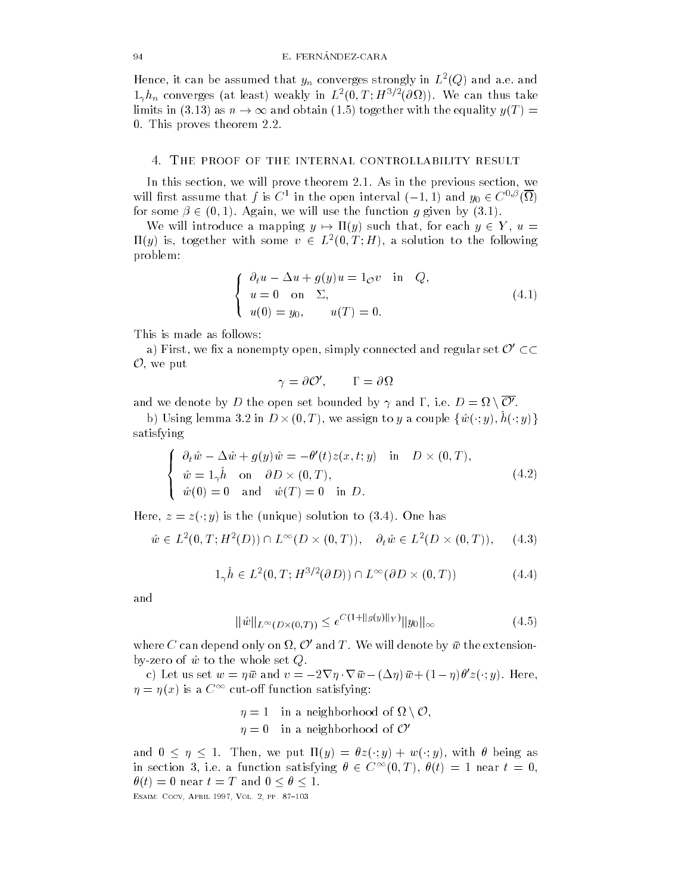mence, it can be assumed that  $y_n$  converges strongly in  $L$  (Q) and a.e. and  $\mathbb{1}_{\gamma}n_{n}$  converges (at least) weakly in  $L^{2}(0,1;H^{\gamma_{1}}(0\Omega_{2})))$ . We can thus take limits in (3.13) as  $n \to \infty$  and obtain (1.5) together with the equality  $y(T) =$ 0. This proves theorem 2.2.

#### - The proof of the internal controllability result

In this section, we will prove theorem  $2.1$ . As in the previous section, we will first assume that f is  $C^1$  in the open interval  $(-1,1)$  and  $y_0 \in C^{\sigma,\rho}(\Omega)$ for some  $\beta \in (0,1)$ . Again, we will use the function g given by  $(3.1)$ .

We will introduce a mapping  $y \mapsto \Pi(y)$  such that, for each  $y \in Y$ ,  $u =$  $\Pi(y)$  is, together with some  $v \in L^2(0,T;H)$ , a solution to the following problem

$$
\begin{cases}\n\partial_t u - \Delta u + g(y)u = 1_{\mathcal{O}} v & \text{in } Q, \\
u = 0 & \text{on } \Sigma, \\
u(0) = y_0, & u(T) = 0.\n\end{cases}
$$
\n(4.1)

This is made as follows

a) First, we fix a nonempty open, simply connected and regular set  $\mathcal{O}'\subset\subset$  $\mathcal{O}$ , we put

$$
\gamma = \partial \mathcal{O}', \qquad \Gamma = \partial \Omega
$$

and we denote by  $D$  the open set bounded by  $\gamma$  and  $\Gamma,$  i.e.  $D = \Omega \setminus \mathcal{O}'.$ 

b) Using lemma 3.2 in  $D\times (0,T),$  we assign to  $y$  a couple  $\{\hat{w}(\cdot;y), h(\cdot;y)\}$ satisfying

$$
\begin{cases}\n\partial_t \hat{w} - \Delta \hat{w} + g(y) \hat{w} = -\theta'(t) z(x, t; y) & \text{in} \quad D \times (0, T), \\
\hat{w} = 1_\gamma \hat{h} & \text{on} \quad \partial D \times (0, T), \\
\hat{w}(0) = 0 & \text{and} \quad \hat{w}(T) = 0 & \text{in} \ D.\n\end{cases}
$$
\n(4.2)

Here,  $z = z(\cdot, y)$  is the funique) solution to (5.4). One has

$$
\hat{w} \in L^{2}(0, T; H^{2}(D)) \cap L^{\infty}(D \times (0, T)), \quad \partial_{t}\hat{w} \in L^{2}(D \times (0, T)), \quad (4.3)
$$

$$
1_{\gamma}\hat{h} \in L^{2}(0,T;H^{3/2}(\partial D)) \cap L^{\infty}(\partial D \times (0,T))
$$
\n(4.4)

and

$$
\|\hat{w}\|_{L^{\infty}(D\times(0,T))} \le e^{C(1+\|g(y)\|_{Y})} \|y_{0}\|_{\infty}
$$
\n(4.5)

where  $C$  can depend only on  $\Omega,$   ${\cal O}'$  and  $T.$  We will denote by  $\bar w$  the extensionby-zero of  $\hat{w}$  to the whole set  $Q$ .

c) Let us set  $w = \eta \bar{w}$  and  $v = -2\nabla \eta \cdot \nabla \bar{w} - (\Delta \eta) \bar{w} + (1 - \eta) \theta' z(\cdot; y)$ . Here,  $\eta = \eta(x)$  is a  $\cup$   $\lnot$  cut-on function satisfying:

> $\eta = 1$  in a neighborhood of  $\Omega \setminus \mathcal{O},$  $\eta = 0$  in a neighborhood of  $\mathcal{O}'$

and  $0 \leq \eta \leq 1$ . Then, we put  $\Pi(y) = \theta z(\cdot; y) + w(\cdot; y)$ , with  $\theta$  being as in section 3, i.e. a function satisfying  $\theta \in C^{\infty}(0,T)$ ,  $\theta(t) = 1$  near  $t = 0$ ,  $\theta(t)=0$  near  $t=T$  and  $0\leq\theta\leq1.$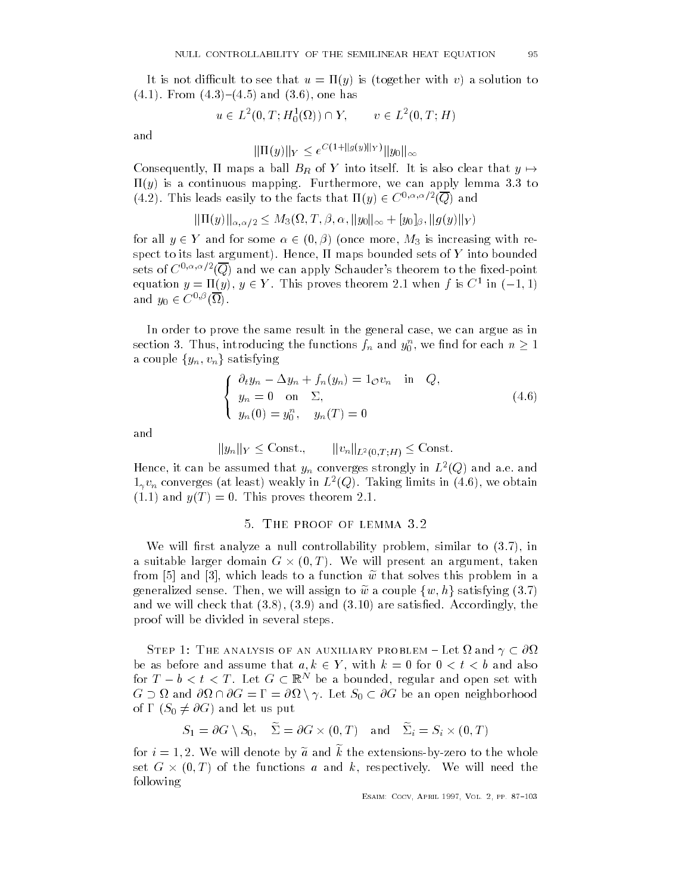It is to see that use that use the use that use the solution term is to see that use the solution of  $\mathcal{L}$ (4.1). From (4.9) (4.9) and (9.0), one has

$$
u \in L^2(0,T; H_0^1(\Omega)) \cap Y
$$
,  $v \in L^2(0,T; H)$ 

$$
\|\Pi(y)\|_{Y} \leq e^{C(1+\|g(y)\|_{Y})} \|y_0\|_{\infty}
$$

Consequently, 11 maps a ball  $B_R$  of Y into itself. It is also clear that  $y\mapsto$  $\mathbf{y}$  is a continuous mapping  $\mathbf{y}$  is a continuous mapping function  $\mathbf{y}$  is a continuous mapping function  $\mathbf{y}$  $(4.2)$ . This leads easily to the facts that  $\Pi(y) \in C^{0, \alpha, \alpha/2}(Q)$  and

$$
\|\Pi(y)\|_{\alpha,\alpha/2}\leq M_3(\Omega,T,\beta,\alpha,\|y_0\|_\infty+[y_0]_\beta,\|g(y)\|_Y)
$$

for all  $y \in Y$  and for some  $\alpha \in (0, \beta)$  (once more,  $M_3$  is increasing with re- $\mathbf{H}$  are to its last argument of  $\mathbf{H}$  argument sets of  $\mathbf{H}$  into bounded sets of  $\mathbf{H}$ sets of C-britriangler and we can apply Schauder's theorem to the fixed-point equation  $y = \Pi(y)$ ,  $y \in Y$ . This proves theorem 2.1 when f is C<sup>+</sup> in  $(-1, 1)$ and  $y_0 \in C^{\circ, \varphi}(\Omega)$ .

In order to prove the same result in the general case, we can argue as in section 3. Thus, introducing the functions  $f_n$  and  $y_0^n$ , we find for each  $n\geq 1$ a couple  $\{y_n,v_n\}$  satisfying

$$
\begin{cases}\n\partial_t y_n - \Delta y_n + f_n(y_n) = 1_{\mathcal{O}} v_n & \text{in } Q, \\
y_n = 0 \quad \text{on } \Sigma, \\
y_n(0) = y_0^n, \quad y_n(T) = 0\n\end{cases}
$$
\n(4.6)

and

$$
||y_n||_Y \leq \text{Const.}, \qquad ||v_n||_{L^2(0,T;H)} \leq \text{Const.}
$$

Hence, it can be assumed that  $y_n$  converges strongly in  $L^-(Q)$  and a.e. and  $1_\gamma v_n$  converges (at least) weakly in  $L$  (Q). Taking limits in (4.0), we obtain and  $\mathbf{r}$  and  $\mathbf{r}$  theorem is proved to the set of  $\mathbf{r}$ 

#### vi file proof of Elmini vie

We will return the controllability problem similar to  $\mathcal{H}$  . In the controllability problem similar to  $\mathcal{H}$ a suitable larger domain  $G\times (0,T)$ . We will present an argument, taken from [5] and [3], which leads to a function  $\tilde{w}$  that solves this problem in a generalized sense. Then, we will assign to  $\widetilde{w}$  a couple  $\{w,h\}$  satisfying  $(3.7)$ and we will check that and are satised Accordingly the proof will be divided in several steps

STEP 1: THE ANALYSIS OF AN AUXILIARY PROBLEM  $-$  Let  $\Omega$  and  $\gamma \subset \partial \Omega$ be as before and assume that  $a, k \in Y$ , with  $k = 0$  for  $0 < t < b$  and also for  $T-b < t < T$ . Let  $G \subset \mathbb{R}^N$  be a bounded, regular and open set with  $G \supset \Omega$  and  $\partial \Omega \cap \partial G = \Gamma = \partial \Omega \setminus \gamma.$  Let  $S_0 \subset \partial G$  be an open neighborhood of  $\Gamma$   $(S_0 \neq \partial G)$  and let us put

$$
S_1 = \partial G \setminus S_0, \quad \widetilde{\Sigma} = \partial G \times (0,T) \quad \text{and} \quad \widetilde{\Sigma}_i = S_i \times (0,T)
$$

for  $i = 1, 2$ . We will defible by a affit while extensions-by-zero to the whole set G  $\times$  (0,1) of the functions  $a$  and  $k$ , respectively. We will need the following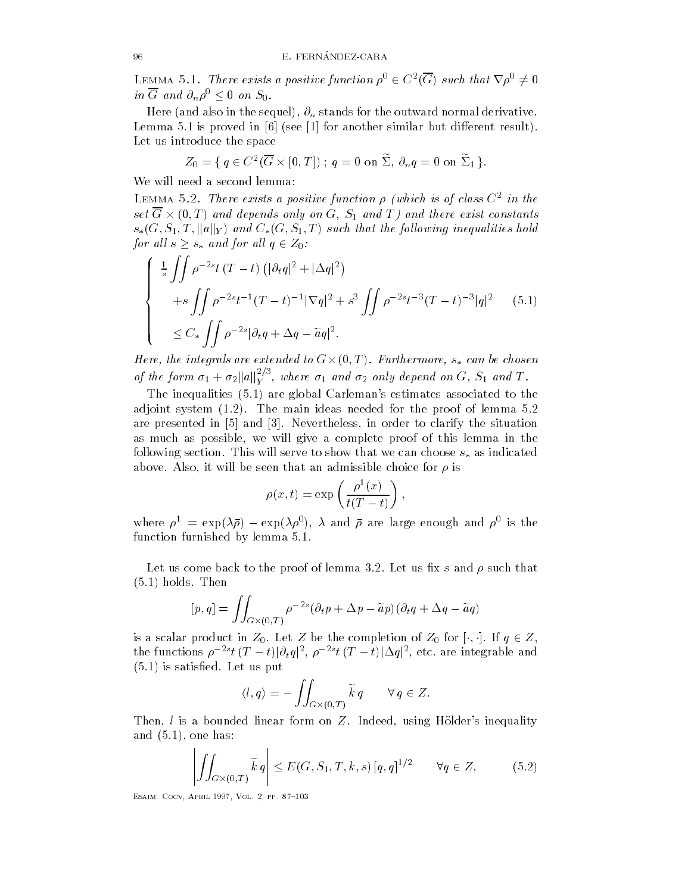LEMMA 5.1. There exists a positive function  $\rho^0 \in C^2(G)$  such that  $\nabla \rho^0 \neq 0$ in G and  $\partial_n \rho^0 \leq 0$  on  $S_0$ .

 $\frac{1}{1}$  the sequel normal derivative sequel normal derivative sequel normal derivative sequel normal derivative sequel normal derivative sequel normal derivative sequel normal derivative sequel normal derivative sequel  $\mathbb L$ emma is proved in see for another similar but discussed in erent results results results results results results results results in an orientation of the see of the see of the see of the see of the see of the see Let us introduce the space

$$
Z_0 = \{ q \in C^2(\overline{G} \times [0,T]); q = 0 \text{ on } \widetilde{\Sigma}, \partial_n q = 0 \text{ on } \widetilde{\Sigma}_1 \}.
$$

We will need a second lemma

LEMMA 0.2. There exists a positive function  $\rho$  (which is of class  $\cup$  th the set  $G \times (0, T)$  and depends only on  $G$ ,  $S_1$  and T) and there exist constants  $s_*(G, S_1, T, \|a\|_Y)$  and  $C_*(G, S_1, T)$  such that the following inequalities hold for all  $s \geq s_*$  and for all  $q \in Z_0$ :

$$
\begin{cases} \frac{1}{s} \iint \rho^{-2s} t (T - t) (|\partial_t q|^2 + |\Delta q|^2) \\ +s \iint \rho^{-2s} t^{-1} (T - t)^{-1} |\nabla q|^2 + s^3 \iint \rho^{-2s} t^{-3} (T - t)^{-3} |q|^2 \\ \leq C_* \iint \rho^{-2s} |\partial_t q + \Delta q - \tilde{a} q|^2. \end{cases} (5.1)
$$

Here, the integrals are extended to  $G\times (0,T)$  . Furthermore,  $s_*$  can be chosen of the form  $\sigma_1 + \sigma_2 ||a||_Y^{2/3}$ , where  $\sigma_1$  and  $\sigma_2$  only depend on G,  $S_1$  and T.

The inequalities is a region of  $\mathbf{A}$  are global Carlemans estimates associated to the theorem in the set of  $\mathbf{A}$ adjoint system in the main ideas needed for the main ideas needed for lemma in the proof of lemma in the proof are presented in  $\left[5\right]$  and  $\left[3\right]$ . Nevertheless, in order to clarify the situation as much as possible, we will give a complete proof of this lemma in the following section. This will serve to show that we can choose  $s_*$  as indicated above. Also, it will be seen that an admissible choice for  $\rho$  is

$$
\rho(x,t) = \exp\left(\frac{\rho^1(x)}{t(T-t)}\right),\,
$$

where  $p = \exp(\lambda p) - \exp(\lambda p)$ ,  $\lambda$  and  $p$  are large enough and  $p$  is the function furnished by lemma

Let us come back to the proof of lemma 3.2. Let us fix  $s$  and  $\rho$  such that holds Then

$$
[p,q] = \iint_{G \times (0,T)} \rho^{-2s} (\partial_t p + \Delta p - \widetilde{a}p) (\partial_t q + \Delta q - \widetilde{a}q)
$$

is a scalar product in  $Z_0$ . Let Z be the completion of  $Z_0$  for  $|\cdot,\cdot|$ . If  $q\in Z,$ the functions  $\rho^{-2s}t\, (T-t)|\partial_tq|^2,\, \rho^{-2s}t\, (T-t)|\Delta q|^2,$  etc. are integrable and is satised Let us put

$$
\langle l, q \rangle = - \iint_{G \times (0,T)} \widetilde{k} q \qquad \forall q \in Z.
$$

Then,  $l$  is a bounded linear form on  $Z$ . Indeed, using Hölder's inequality and the contract of the contract of the contract of the contract of the contract of the contract of the contract of the contract of the contract of the contract of the contract of the contract of the contract of the contra

$$
\left| \iint_{G \times (0,T)} \widetilde{k} \, q \right| \le E(G, S_1, T, k, s) \, [q, q]^{1/2} \qquad \forall q \in Z, \tag{5.2}
$$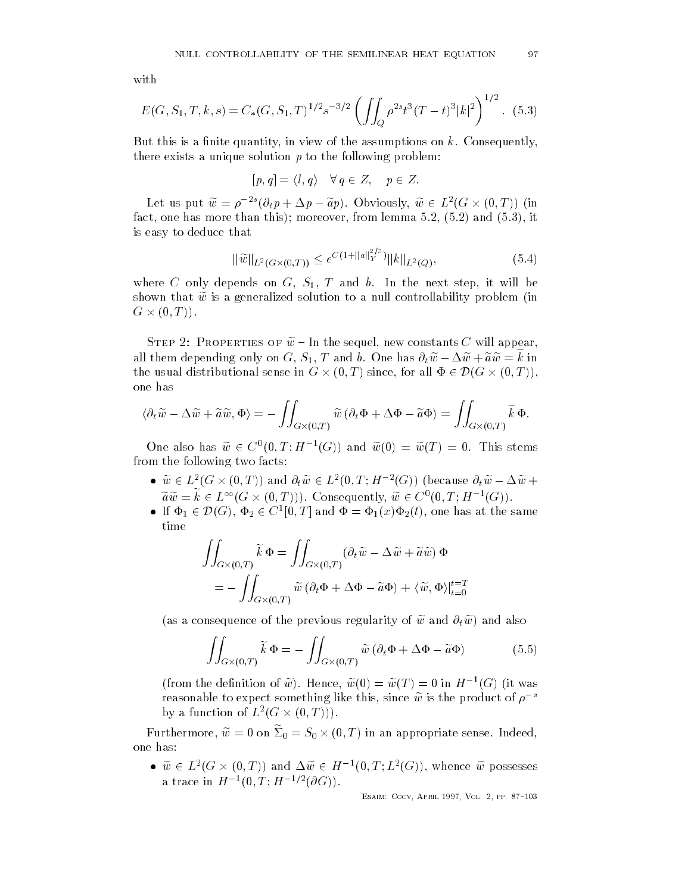$$
E(G, S_1, T, k, s) = C_*(G, S_1, T)^{1/2} s^{-3/2} \left( \iint_Q \rho^{2s} t^3 (T - t)^3 |k|^2 \right)^{1/2}.
$$
 (5.3)

But this is a finite quantity, in view of the assumptions on  $k$ . Consequently, there exists a unique solution  $p$  to the following problem:

$$
[p,q] = \langle l,q \rangle \quad \forall q \in Z, \quad p \in Z.
$$

Let us put  $w = \rho^{-2s}(\partial_t p + \Delta p - ap)$ . Obviously,  $w \in L^2(G \times (0,T))$  (in  $\frac{1}{2}$  it is not interesting than the more than the more than the more than the more than the more than the more than the more than  $\mathbf{r}$ is easy to deduce that

$$
\|\widetilde{w}\|_{L^2(G\times(0,T))} \le e^{C(1+\|a\|_Y^{2/3})} \|k\|_{L^2(Q)},
$$
\n(5.4)

where  $\mathbf{C} = \mathbf{C} \mathbf{C} \mathbf{C}$  and become it will be next step it will be next step it will be next step it will be next step it will be next step it will be next step if will be next step if will be next step if will shown that  $\tilde{w}$  is a generalized solution to a null controllability problem (in  $G \times (0, T)$ .

 $S$  i and the step  $\omega$  - In the sequel, hew constants  $\cup$  will appear, an them depending only on  $G, \cup_1, I$  and b. One has  $\sigma_t w - \Delta w + a w = \kappa$  in the usual distributional sense in  $G\times (0,T)$  since, for all  $\Phi\in \mathcal{D}(G\times (0,T)),$ one has

$$
\langle \partial_t \widetilde{w} - \Delta \widetilde{w} + \widetilde{a} \widetilde{w}, \Phi \rangle = - \iint_{G \times (0,T)} \widetilde{w} \left( \partial_t \Phi + \Delta \Phi - \widetilde{a} \Phi \right) = \iint_{G \times (0,T)} \widetilde{k} \Phi.
$$

One also has  $w \in C^{\circ}(0,T;H^{-1}(G))$  and  $w(0) = w(T) = 0$ . This stems from the following two facts

- $w \in L^2(G \times (0,T))$  and  $\partial_t w \in L^2(0,T;H^{-2}(G))$  (because  $\partial_t w \Delta w +$  $aw = k \in L^{\infty}(G \times (0,T))$ . Consequently,  $w \in C^{0}(0,T;H^{-1}(G))$ .
- If  $\Phi_1 \in \mathcal{D}(G)$ ,  $\Phi_2 \in C^1[0,T]$  and  $\Phi = \Phi_1(x)\Phi_2(t)$ , one has at the same time

$$
\iint_{G \times (0,T)} \widetilde{k} \Phi = \iint_{G \times (0,T)} (\partial_t \widetilde{w} - \Delta \widetilde{w} + \widetilde{a}\widetilde{w}) \Phi
$$

$$
= - \iint_{G \times (0,T)} \widetilde{w} (\partial_t \Phi + \Delta \Phi - \widetilde{a} \Phi) + \langle \widetilde{w}, \Phi \rangle|_{t=0}^{t=T}
$$

as a consequence of the previous regularity of we and twenty were also

$$
\iint_{G \times (0,T)} \widetilde{k} \, \Phi = - \iint_{G \times (0,T)} \widetilde{w} \left( \partial_t \Phi + \Delta \Phi - \widetilde{a} \Phi \right) \tag{5.5}
$$

(from the definition of w). Hence,  $w(0) = w(1) = 0$  in  $H^{-1}(G)$  (it was reasonable to expect something like this, since  $\widetilde{w}$  is the product of  $\rho^{-s}$ by a function of  $L^*(G \times (0,T)))$ .

Furthermore,  $w = 0$  on  $\Sigma_0 = S_0 \times (0,T)$  in an appropriate sense. Indeed, one has

•  $w \in L^2(G \times (0,T))$  and  $\Delta w \in H^{-1}(0,T;L^2(G))$ , whence w possesses a trace in  $H^{-1}(0,1)$ ;  $H^{-1}$   $\lceil (U(x)) \rceil$ .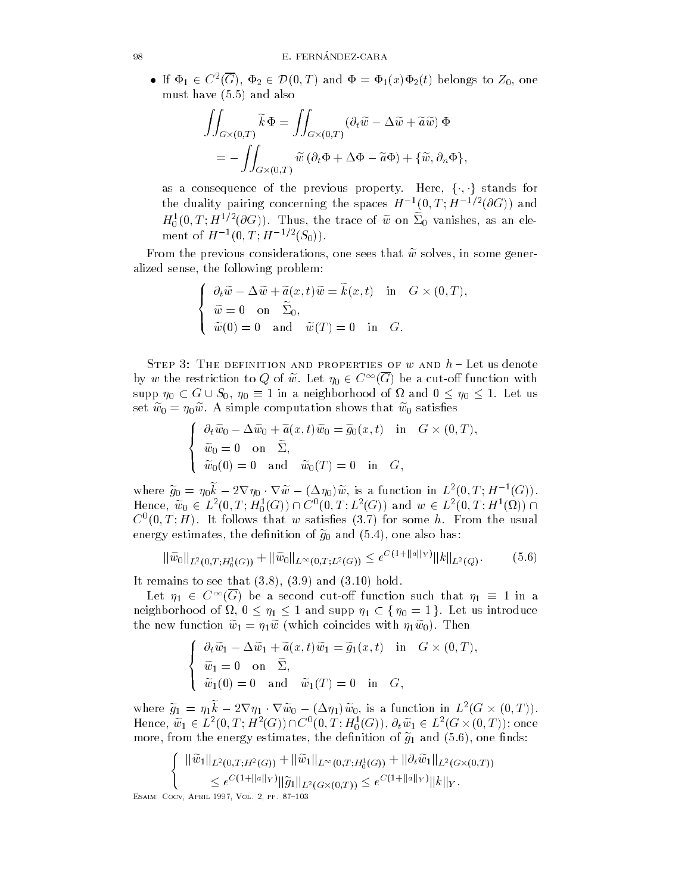• If  $\Phi_1 \in C^2(G)$ ,  $\Phi_2 \in \mathcal{D}(0,T)$  and  $\Phi = \Phi_1(x)\Phi_2(t)$  belongs to  $Z_0$ , one must have a structure of the structure of the structure of the structure of the structure of the structure of

$$
\iint_{G \times (0,T)} \widetilde{k} \, \Phi = \iint_{G \times (0,T)} (\partial_t \widetilde{w} - \Delta \widetilde{w} + \widetilde{a} \widetilde{w}) \, \Phi
$$
  
= 
$$
- \iint_{G \times (0,T)} \widetilde{w} \left( \partial_t \Phi + \Delta \Phi - \widetilde{a} \Phi \right) + \{ \widetilde{w}, \partial_n \Phi \},
$$

as a consequence of the previous property. Here,  $\{\cdot,\cdot\}$  stands for the quality pairing concerning the spaces  $H^{-1}(0, I, H^{-1}(\partial G))$  and  $H_0^{\circ}(0,1;H^{-\gamma-1}(0\mathrm{G})),$  thus, the trace of w on  $\mathcal{Z}_0$  vanishes, as an ele- $\cup$   $\vee$   $\overline{\phantom{0}}$ ment of  $H^{-1}(0,1;H^{-1}(0,0)).$ 

From the previous considerations, one sees that  $\widetilde{w}$  solves, in some generalized sense, the following problem:

$$
\begin{cases}\n\frac{\partial_t \widetilde{w} - \Delta \widetilde{w} + \widetilde{a}(x, t) \widetilde{w} = \widetilde{k}(x, t) & \text{in} \quad G \times (0, T), \\
\widetilde{w} = 0 & \text{on} \quad \widetilde{\Sigma}_0, \\
\widetilde{w}(0) = 0 & \text{and} \quad \widetilde{w}(T) = 0 & \text{in} \quad G.\n\end{cases}
$$

STEP 3: THE DEFINITION AND PROPERTIES OF  $w$  and  $h$  - Let us denote by  $w$  the restriction to  $Q$  of  $w$ . Let  $\eta_0 \in C^\infty(G)$  be a cut-off function with supp  $\eta_0 \subset G \cup S_0$ ,  $\eta_0 \equiv 1$  in a neighborhood of  $\Omega$  and  $0 \leq \eta_0 \leq 1$ . Let us set we-computer shows that we are shown that we have a simple computation shows that we computer we computed w

$$
\begin{cases}\n\frac{\partial_t \widetilde{w}_0 - \Delta \widetilde{w}_0 + \widetilde{a}(x, t) \widetilde{w}_0 = \widetilde{g}_0(x, t) & \text{in} \quad G \times (0, T), \\
\widetilde{w}_0 = 0 & \text{on} \quad \widetilde{\Sigma}, \\
\widetilde{w}_0(0) = 0 & \text{and} \quad \widetilde{w}_0(T) = 0 & \text{in} \quad G,\n\end{cases}
$$

where  $\tilde{g}_0 = \eta_0 k - 2\nabla\eta_0\cdot\nabla\tilde{w} - (\Delta\eta_0)\tilde{w}$ , is a function in  $L^2(0,T;H^{-1}(G))$ . Hence,  $w_0 \in L^2(0,T; H^1_0(G)) \cap C^0(0,T; L^2(G))$  and  $w \in L^2(0,T; H^1(\Omega)) \cap$  $\cup$   $\{0,1\}$   $H$  ). It follows that  $w$  satisfies  $\{0.7\}$  for some  $n$ . From the usual energy estimates the denimies of  $g_0$  and  $\tau$  for  $\eta$  and discussion of  $\tau$ 

$$
\|\tilde{w}_0\|_{L^2(0,T;H_0^1(G))} + \|\tilde{w}_0\|_{L^\infty(0,T;L^2(G))} \le e^{C(1+\|a\|_Y)} \|k\|_{L^2(Q)}.
$$
 (5.6)

It remains to see that the see that  $\mathbf{r}$  is a set of the see that the see that the see that the see that the see that the see that the see that the see that the see that the see that the see that the see that the see

Let  $\eta_1\ \in\ C^\infty(G)$  be a second cut-off function such that  $\eta_1\ \equiv\ 1$  in a neighborhood of  $\Omega$ ,  $0 \leq \eta_1 \leq 1$  and supp  $\eta_1 \subset \set{\eta_0 = 1}$ . Let us introduce  $\mathbf{u}$  is a new measure with  $\mathbf{u}$  and  $\mathbf{u}$ 

$$
\begin{cases}\n\frac{\partial_t \widetilde{w}_1 - \Delta \widetilde{w}_1 + \widetilde{a}(x, t) \widetilde{w}_1 = \widetilde{g}_1(x, t) & \text{in} \quad G \times (0, T), \\
\widetilde{w}_1 = 0 & \text{on} \quad \widetilde{\Sigma}, \\
\widetilde{w}_1(0) = 0 & \text{and} \quad \widetilde{w}_1(T) = 0 & \text{in} \quad G,\n\end{cases}
$$

where  $\tilde{g}_1 = \eta_1 k - 2\nabla\eta_1 \cdot \nabla \tilde{w}_0 - (\Delta \eta_1) \tilde{w}_0$ , is a function in  $L^2(G \times (0,T)).$ Hence,  $w_1 \in L^2(0,T;H^2(G)) \cap C^0(0,T;H^1_0(G)),$   $\partial_t w_1 \in L^2(G \times (0,T));$  once more from the energy estimates the density of  $\mathbf{J} \mathbf{1}$  and  $\mathbf{J} \mathbf{1}$  and  $\mathbf{J} \mathbf{1}$ 

$$
\{\begin{aligned}\n\|\widetilde{w}_1\|_{L^2(0,T;H^2(G))} + \|\widetilde{w}_1\|_{L^{\infty}(0,T;H^1_0(G))} + \|\partial_t \widetilde{w}_1\|_{L^2(G\times(0,T))} \\
&\leq e^{C(1+\|a\|_Y)} \|\widetilde{g}_1\|_{L^2(G\times(0,T))} \leq e^{C(1+\|a\|_Y)} \|k\|_Y.\n\end{aligned}
$$
\nM: Cocv, APRL 1997, Vol. 2, PP. 87-103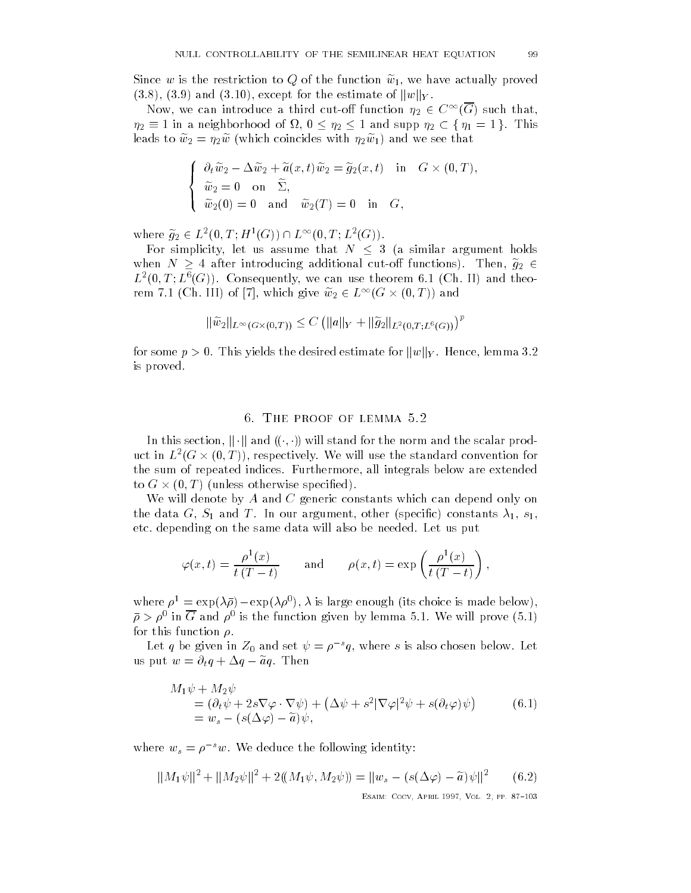Since w is the restriction to Q of the function we we have actually proved  $(3.8), (3.9)$  and  $(3.10),$  except for the estimate of  $\|w\|_Y.$ 

Now, we can introduce a third cut-off function  $\eta_2 \in C^\infty(G)$  such that,  $\eta_2 \equiv 1$  in a neighborhood of  $\Omega$ ,  $0 \leq \eta_2 \leq 1$  and supp  $\eta_2 \subset \{\eta_1 = 1\}$ . This leads to which coincides with the sees that the sees that the sees that the sees that the sees that the sees t

$$
\begin{cases}\n\frac{\partial_t \widetilde{w}_2 - \Delta \widetilde{w}_2 + \widetilde{a}(x, t) \widetilde{w}_2 = \widetilde{g}_2(x, t) & \text{in} \quad G \times (0, T), \\
\widetilde{w}_2 = 0 & \text{on} \quad \widetilde{\Sigma}, \\
\widetilde{w}_2(0) = 0 & \text{and} \quad \widetilde{w}_2(T) = 0 & \text{in} \quad G,\n\end{cases}
$$

where  $g_2\in L^2(0,T;H^1(G))\cap L^\infty(0,T;L^2(G))$  .

For simplicity, let us assume that  $N \leq 3$  (a similar argument holds when  $N \geq 4$  after introducing additional cut-off functions). Then,  $g_2 \in$  $L$  (0, 1 ;  $L$  (G)). Consequently, we can use theorem 0.1 (Cn. 11) and theorem 7.1 (Ch. III) of [7], which give  $w_2\in L^\infty(G\times (0,T))$  and

$$
\|\widetilde{w}_2\|_{L^{\infty}(G\times(0,T))} \leq C \left( \|a\|_{Y} + \|\widetilde{g}_2\|_{L^2(0,T;L^6(G))} \right)^p
$$

for some  $p > 0$ . This yields the desired estimate for  $\|w\|_Y$ . Hence, lemma 3.2 is proved

### of file froot of Emmitted.

In this section,  $\|\cdot\|$  and  $((\cdot, \cdot))$  will stand for the norm and the scalar product in  $L^2(G \times (0,T))$ , respectively. We will use the standard convention for the sum of repeated indices. Furthermore, all integrals below are extended to G  $\times$  (U, T) (unless otherwise specified).

We will denote by  $A$  and  $C$  generic constants which can depend only on the data G S and T In our argument of the data C in our argument of the data constants of the data constants o etc. depending on the same data will also be needed. Let us put

$$
\varphi(x,t) = \frac{\rho^1(x)}{t(T-t)}
$$
 and  $\rho(x,t) = \exp\left(\frac{\rho^1(x)}{t(T-t)}\right)$ ,

where  $p_i = \exp(\lambda p_i - \exp(\lambda p_i)$ ,  $\lambda$  is large enough this choice is made below),  $\rho > \rho^+$  in G and  $\rho^+$  is the function given by lemma 3.1. We will prove (3.1) for this function  $\rho$ .

Let q be given in  $\mathcal{Z}_0$  and set  $\psi = \rho^{-1}q,$  where s is also chosen below. Let us put  $w = \partial_t q + \Delta q - \tilde{a}q$ . Then

$$
M_1 \psi + M_2 \psi
$$
  
=  $(\partial_t \psi + 2s \nabla \varphi \cdot \nabla \psi) + (\Delta \psi + s^2 |\nabla \varphi|^2 \psi + s(\partial_t \varphi) \psi)$  (6.1)  
=  $w_s - (s(\Delta \varphi) - \tilde{a}) \psi$ ,

where  $w_s = \rho^{-s}w$ . We deduce the following identity:

$$
||M_1\psi||^2 + ||M_2\psi||^2 + 2((M_1\psi, M_2\psi)) = ||w_s - (s(\Delta\varphi) - \tilde{a})\psi||^2 \qquad (6.2)
$$
  
ESAM: GOCV-APBL 1997, Vol. 2. PP. 87-103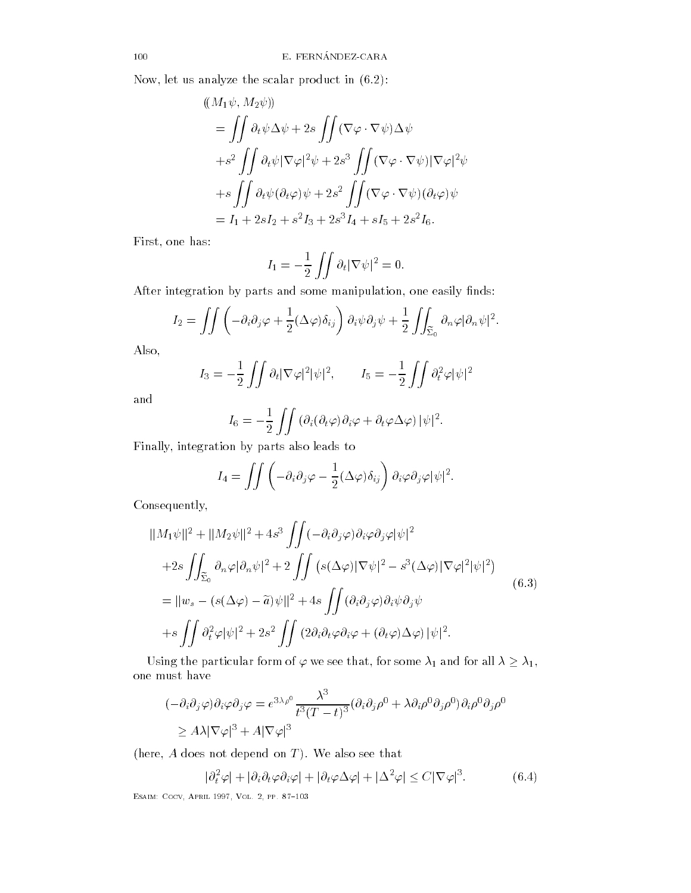Now let us analyze the scalar product in

$$
\begin{aligned}\n&((M_1\psi, M_2\psi)) \\
&= \iint \partial_t \psi \Delta \psi + 2s \iint (\nabla \varphi \cdot \nabla \psi) \Delta \psi \\
&+ s^2 \iint \partial_t \psi |\nabla \varphi|^2 \psi + 2s^3 \iint (\nabla \varphi \cdot \nabla \psi) |\nabla \varphi|^2 \psi \\
&+ s \iint \partial_t \psi (\partial_t \varphi) \psi + 2s^2 \iint (\nabla \varphi \cdot \nabla \psi) (\partial_t \varphi) \psi \\
&= I_1 + 2sI_2 + s^2I_3 + 2s^3I_4 + sI_5 + 2s^2I_6.\n\end{aligned}
$$

First, one has:

$$
I_1 = -\frac{1}{2} \iint \partial_t |\nabla \psi|^2 = 0.
$$

After integration by parts and some manipulation, one easily finds:

$$
I_2 = \iint \left( -\partial_i \partial_j \varphi + \frac{1}{2} (\Delta \varphi) \delta_{ij} \right) \partial_i \psi \partial_j \psi + \frac{1}{2} \iint_{\widetilde{\Sigma}_0} \partial_n \varphi |\partial_n \psi|^2.
$$

Also

$$
I_3 = -\frac{1}{2} \iint \partial_t |\nabla \varphi|^2 |\psi|^2, \qquad I_5 = -\frac{1}{2} \iint \partial_t^2 \varphi |\psi|^2
$$

and

$$
I_6 = -\frac{1}{2} \iint (\partial_i(\partial_t \varphi) \partial_i \varphi + \partial_t \varphi \Delta \varphi) |\psi|^2.
$$

Finally, integration by parts also leads to

$$
I_4 = \iint \left( -\partial_i \partial_j \varphi - \frac{1}{2} (\Delta \varphi) \delta_{ij} \right) \partial_i \varphi \partial_j \varphi |\psi|^2.
$$

Consequently

$$
\|M_1\psi\|^2 + \|M_2\psi\|^2 + 4s^3 \iint (-\partial_i \partial_j \varphi) \partial_i \varphi \partial_j \varphi |\psi|^2 + 2s \iint_{\widetilde{\Sigma}_0} \partial_n \varphi |\partial_n \psi|^2 + 2 \iint (s(\Delta \varphi) |\nabla \psi|^2 - s^3(\Delta \varphi) |\nabla \varphi|^2 |\psi|^2) = \|w_s - (s(\Delta \varphi) - \widetilde{a})\psi\|^2 + 4s \iint (\partial_i \partial_j \varphi) \partial_i \psi \partial_j \psi + s \iint \partial_i^2 \varphi |\psi|^2 + 2s^2 \iint (2\partial_i \partial_t \varphi \partial_i \varphi + (\partial_t \varphi) \Delta \varphi) |\psi|^2.
$$
 (6.3)

Using the particular form of  $\varphi$  we see that, for some  $\lambda_1$  and for all  $\lambda \geq \lambda_1$ , one must have

$$
(-\partial_i \partial_j \varphi) \partial_i \varphi \partial_j \varphi = e^{3\lambda \rho^0} \frac{\lambda^3}{t^3 (T-t)^3} (\partial_i \partial_j \rho^0 + \lambda \partial_i \rho^0 \partial_j \rho^0) \partial_i \rho^0 \partial_j \rho^0
$$
  
 
$$
\geq A\lambda |\nabla \varphi|^3 + A|\nabla \varphi|^3
$$

here A does not depend on T We also see that

$$
|\partial_t^2 \varphi| + |\partial_i \partial_t \varphi \partial_i \varphi| + |\partial_t \varphi \Delta \varphi| + |\Delta^2 \varphi| \le C |\nabla \varphi|^3.
$$
 (6.4)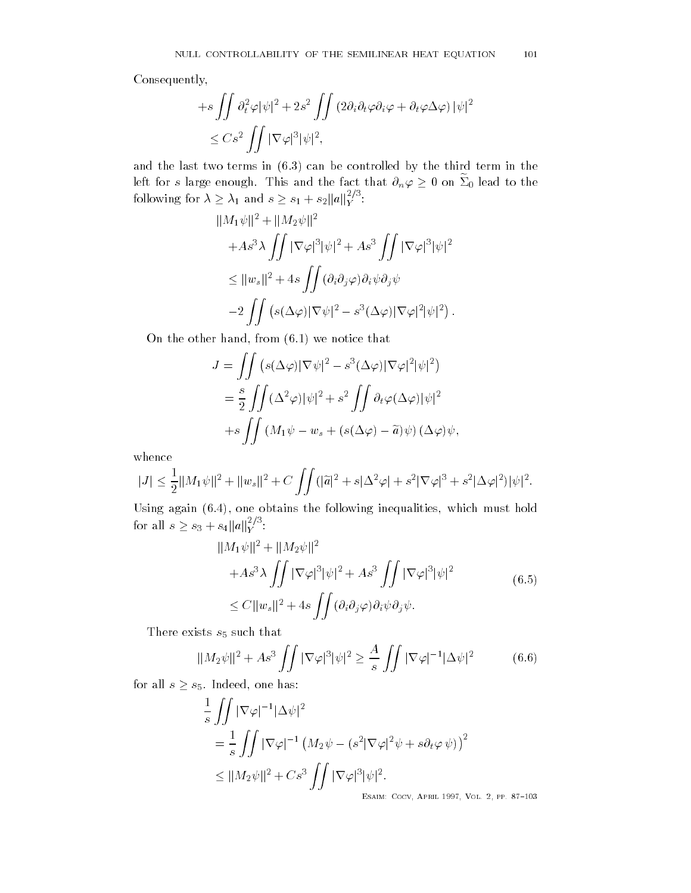Consequently

$$
+s \iint \partial_t^2 \varphi |\psi|^2 + 2s^2 \iint (2\partial_i \partial_t \varphi \partial_i \varphi + \partial_t \varphi \Delta \varphi) |\psi|^2
$$
  

$$
\leq Cs^2 \iint |\nabla \varphi|^3 |\psi|^2,
$$

and the last two terms in the last two terms in the third term in the third term in the third term in the third term in the third term in the third term in the third term in the third term in the third term in the third t left for  $s$  large enough. This and the fact that  $\partial_n \varphi \geq 0$  on  $\Sigma_0$  lead to the following for  $\lambda \geq \lambda_1$  and  $s \geq s_1 + s_2 ||a||_Y^{2/3}$ : Y

$$
||M_1\psi||^2 + ||M_2\psi||^2
$$
  
+
$$
As^3 \lambda \iint |\nabla \varphi|^3 |\psi|^2 + As^3 \iint |\nabla \varphi|^3 |\psi|^2
$$
  

$$
\leq ||w_s||^2 + 4s \iint (\partial_i \partial_j \varphi) \partial_i \psi \partial_j \psi
$$
  

$$
-2 \iint (s(\Delta \varphi) |\nabla \psi|^2 - s^3 (\Delta \varphi) |\nabla \varphi|^2 |\psi|^2).
$$

On the other hand from we notice that

$$
J = \iint (s(\Delta \varphi) |\nabla \psi|^2 - s^3(\Delta \varphi) |\nabla \varphi|^2 |\psi|^2)
$$
  
= 
$$
\frac{s}{2} \iint (\Delta^2 \varphi) |\psi|^2 + s^2 \iint \partial_t \varphi(\Delta \varphi) |\psi|^2
$$
  
+
$$
s \iint (M_1 \psi - w_s + (s(\Delta \varphi) - \tilde{a}) \psi) (\Delta \varphi) \psi,
$$

whence

$$
|J| \leq \frac{1}{2} ||M_1 \psi||^2 + ||w_s||^2 + C \iint (|\tilde{a}|^2 + s|\Delta^2 \varphi| + s^2 |\nabla \varphi|^3 + s^2 |\Delta \varphi|^2) |\psi|^2.
$$

 $U$ sing again again again again inequalities which must hold must hold must hold must hold must hold must hold must hold must hold must hold must hold must hold must hold must hold must hold must hold must hold must hold for all  $s \geq s_3 + s_4 ||a||_Y^{2/3}$ :  $\boldsymbol{Y}$  and  $\boldsymbol{Y}$ 

$$
\|M_1\psi\|^2 + \|M_2\psi\|^2
$$
  
+ $As^3\lambda \iint |\nabla \varphi|^3 |\psi|^2 + As^3 \iint |\nabla \varphi|^3 |\psi|^2$   
 $\leq C \|w_s\|^2 + 4s \iint (\partial_i \partial_j \varphi) \partial_i \psi \partial_j \psi.$  (6.5)

There exists  $s_5$  such that

$$
||M_2\psi||^2 + As^3 \iint |\nabla \varphi|^3 |\psi|^2 \ge \frac{A}{s} \iint |\nabla \varphi|^{-1} |\Delta \psi|^2 \tag{6.6}
$$

for all  $s \geq s_5$ . Indeed, one has:

$$
\frac{1}{s} \iint |\nabla \varphi|^{-1} |\Delta \psi|^2
$$
  
= 
$$
\frac{1}{s} \iint |\nabla \varphi|^{-1} (M_2 \psi - (s^2 |\nabla \varphi|^2 \psi + s \partial_t \varphi \psi))^2
$$
  

$$
\leq ||M_2 \psi||^2 + Cs^3 \iint |\nabla \varphi|^3 |\psi|^2.
$$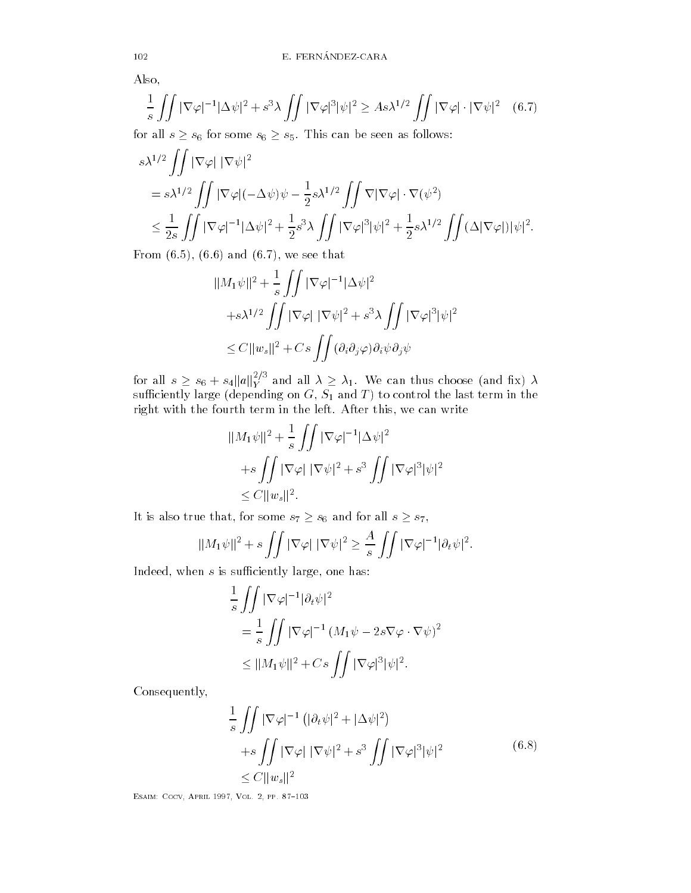Also

$$
\frac{1}{s} \iint |\nabla \varphi|^{-1} |\Delta \psi|^2 + s^3 \lambda \iint |\nabla \varphi|^3 |\psi|^2 \ge As \lambda^{1/2} \iint |\nabla \varphi| \cdot |\nabla \psi|^2 \quad (6.7)
$$

for all  $s \geq s_6$  for some  $s_6 \geq s_5$ . This can be seen as follows:

$$
s\lambda^{1/2} \iint |\nabla \varphi| |\nabla \psi|^2
$$
  
=  $s\lambda^{1/2} \iint |\nabla \varphi| (-\Delta \psi) \psi - \frac{1}{2} s \lambda^{1/2} \iint \nabla |\nabla \varphi| \cdot \nabla (\psi^2)$   
 $\leq \frac{1}{2s} \iint |\nabla \varphi|^{-1} |\Delta \psi|^2 + \frac{1}{2} s^3 \lambda \iint |\nabla \varphi|^3 |\psi|^2 + \frac{1}{2} s \lambda^{1/2} \iint (\Delta |\nabla \varphi|) |\psi|^2.$ 

 $\mathbf{r}$  and  $\mathbf{r}$  and  $\mathbf{r}$  and  $\mathbf{r}$  and  $\mathbf{r}$  and  $\mathbf{r}$  and  $\mathbf{r}$  and  $\mathbf{r}$  and  $\mathbf{r}$  and  $\mathbf{r}$  and  $\mathbf{r}$  and  $\mathbf{r}$  and  $\mathbf{r}$  and  $\mathbf{r}$  and  $\mathbf{r}$  and  $\mathbf{r}$  and  $\mathbf{r}$  and

$$
\|M_1\psi\|^2 + \frac{1}{s} \iint |\nabla \varphi|^{-1} |\Delta \psi|^2
$$
  
+s $\lambda^{1/2} \iint |\nabla \varphi| |\nabla \psi|^2 + s^3 \lambda \iint |\nabla \varphi|^3 |\psi|^2$   
 $\leq C \|w_s\|^2 + Cs \iint (\partial_i \partial_j \varphi) \partial_i \psi \partial_j \psi$ 

for all  $s \geq s_6 + s_4 \|a\|_Y^{2/5}$  and  $Y^{\circ}$  and all  $\lambda \geq \lambda_1$ . We can thus choose (and fix)  $\lambda$ such the large depending on G  $\sim$  such the last term in the last term in the last term in the last term in the last term in the last term in the last term in the last term in the last term in the last term in the last te right with the fourth term in the left. After this, we can write

$$
||M_1\psi||^2 + \frac{1}{s} \iint |\nabla \varphi|^{-1} |\Delta \psi|^2
$$
  
+ $s \iint |\nabla \varphi| |\nabla \psi|^2 + s^3 \iint |\nabla \varphi|^3 |\psi|^2$   
 $\leq C ||w_s||^2.$ 

It is also true that, for some  $s_7 \geq s_6$  and for all  $s \geq s_7$ ,

$$
||M_1\psi||^2 + s \iint |\nabla \varphi| |\nabla \psi|^2 \geq \frac{A}{s} \iint |\nabla \varphi|^{-1} |\partial_t \psi|^2.
$$

Indeed, when  $s$  is sufficiently large, one has:

$$
\frac{1}{s} \iint |\nabla \varphi|^{-1} |\partial_t \psi|^2
$$
  
= 
$$
\frac{1}{s} \iint |\nabla \varphi|^{-1} (M_1 \psi - 2s \nabla \varphi \cdot \nabla \psi)^2
$$
  

$$
\leq ||M_1 \psi||^2 + Cs \iint |\nabla \varphi|^3 |\psi|^2.
$$

Consequently

$$
\frac{1}{s} \iint |\nabla \varphi|^{-1} \left( |\partial_t \psi|^2 + |\Delta \psi|^2 \right) \n+ s \iint |\nabla \varphi| |\nabla \psi|^2 + s^3 \iint |\nabla \varphi|^3 |\psi|^2 \n\leq C ||w_s||^2
$$
\n(6.8)